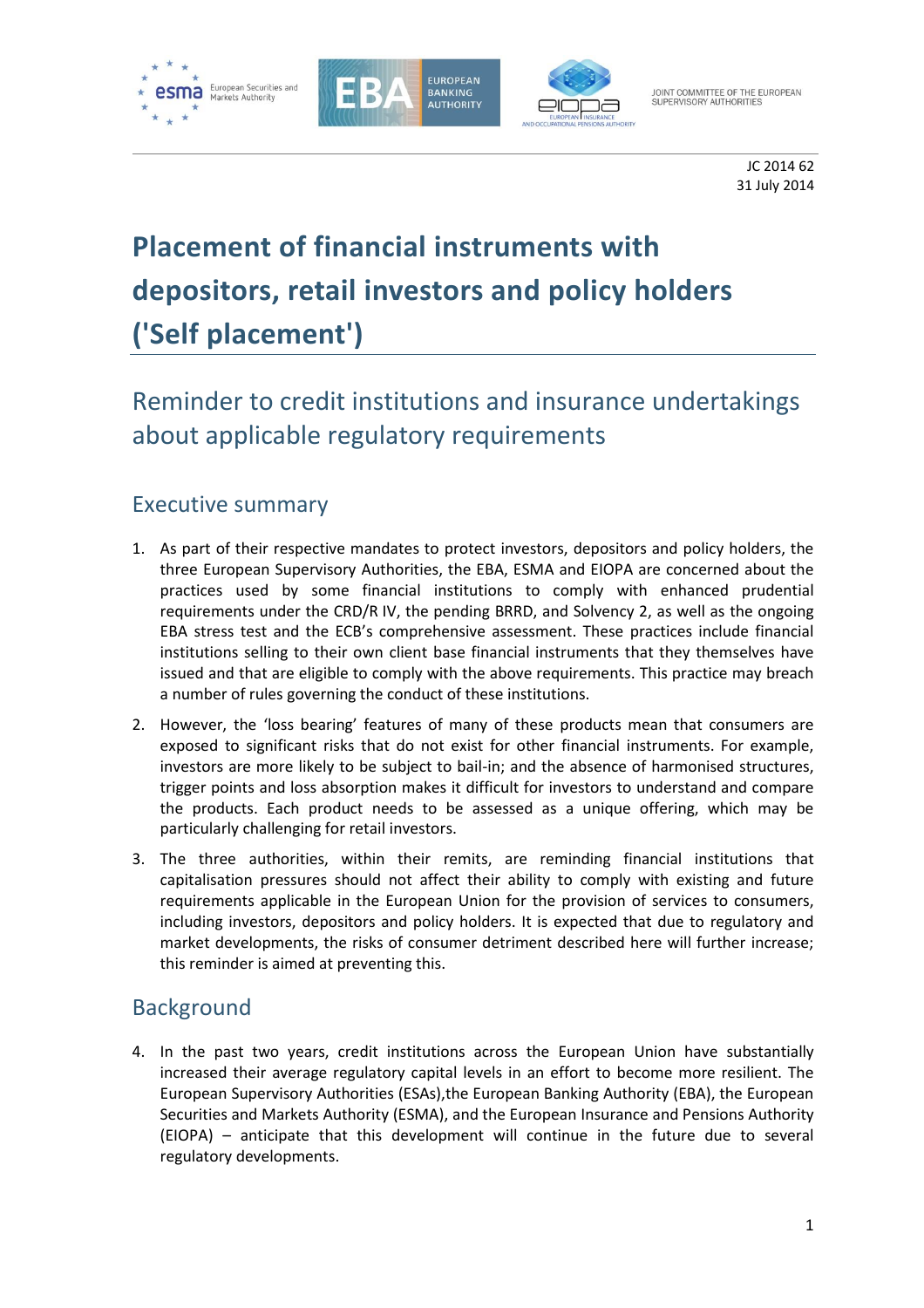





JOINT COMMITTEE OF THE EUROPEAN<br>SUPERVISORY AUTHORITIES

JC 2014 62 31 July 2014

# **Placement of financial instruments with depositors, retail investors and policy holders ('Self placement')**

## Reminder to credit institutions and insurance undertakings about applicable regulatory requirements

## Executive summary

- 1. As part of their respective mandates to protect investors, depositors and policy holders, the three European Supervisory Authorities, the EBA, ESMA and EIOPA are concerned about the practices used by some financial institutions to comply with enhanced prudential requirements under the CRD/R IV, the pending BRRD, and Solvency 2, as well as the ongoing EBA stress test and the ECB's comprehensive assessment. These practices include financial institutions selling to their own client base financial instruments that they themselves have issued and that are eligible to comply with the above requirements. This practice may breach a number of rules governing the conduct of these institutions.
- 2. However, the 'loss bearing' features of many of these products mean that consumers are exposed to significant risks that do not exist for other financial instruments. For example, investors are more likely to be subject to bail-in; and the absence of harmonised structures, trigger points and loss absorption makes it difficult for investors to understand and compare the products. Each product needs to be assessed as a unique offering, which may be particularly challenging for retail investors.
- 3. The three authorities, within their remits, are reminding financial institutions that capitalisation pressures should not affect their ability to comply with existing and future requirements applicable in the European Union for the provision of services to consumers, including investors, depositors and policy holders. It is expected that due to regulatory and market developments, the risks of consumer detriment described here will further increase; this reminder is aimed at preventing this.

### Background

4. In the past two years, credit institutions across the European Union have substantially increased their average regulatory capital levels in an effort to become more resilient. The European Supervisory Authorities (ESAs),the European Banking Authority (EBA), the European Securities and Markets Authority (ESMA), and the European Insurance and Pensions Authority (EIOPA) – anticipate that this development will continue in the future due to several regulatory developments.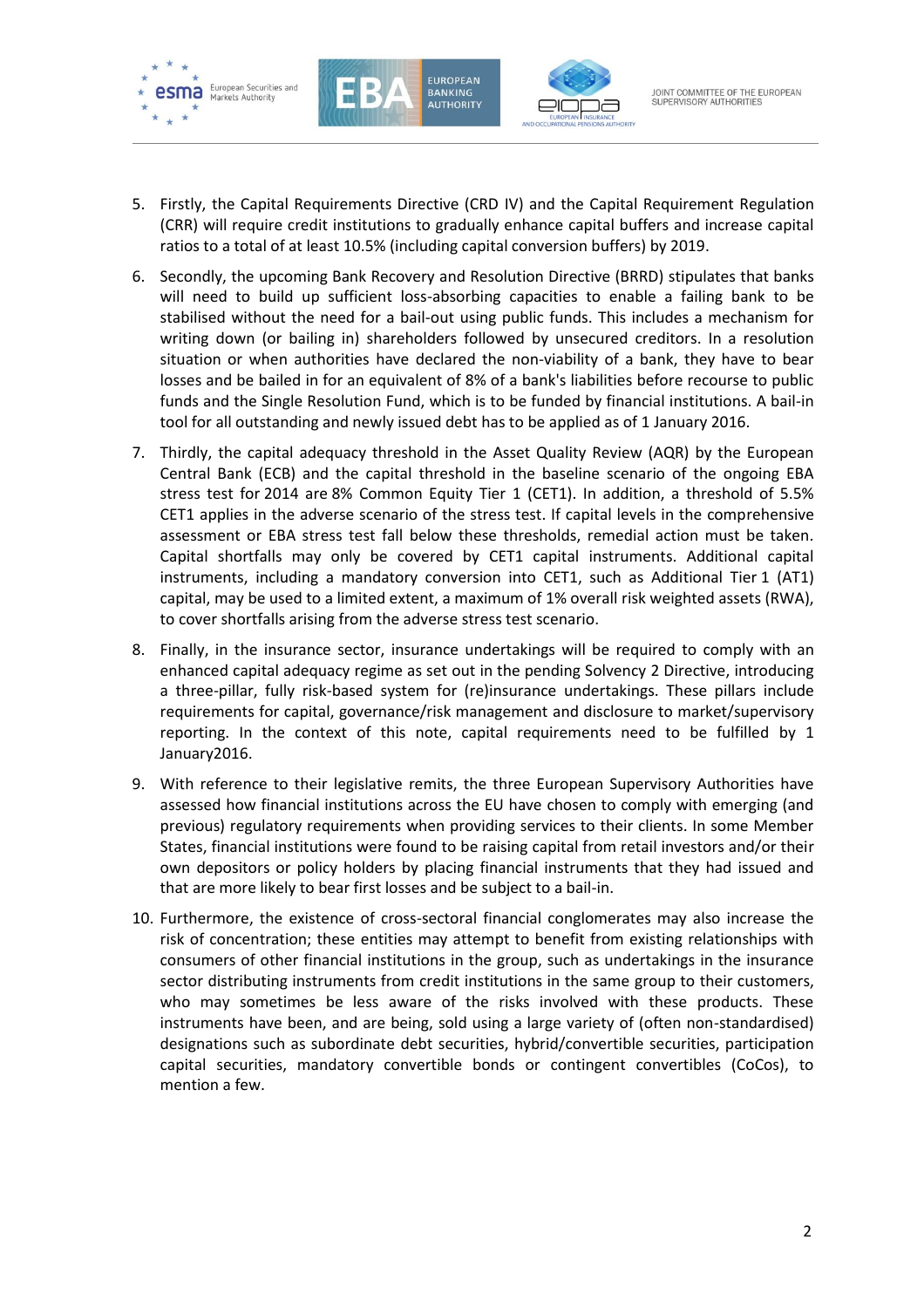





- 5. Firstly, the Capital Requirements Directive (CRD IV) and the Capital Requirement Regulation (CRR) will require credit institutions to gradually enhance capital buffers and increase capital ratios to a total of at least 10.5% (including capital conversion buffers) by 2019.
- 6. Secondly, the upcoming Bank Recovery and Resolution Directive (BRRD) stipulates that banks will need to build up sufficient loss-absorbing capacities to enable a failing bank to be stabilised without the need for a bail-out using public funds. This includes a mechanism for writing down (or bailing in) shareholders followed by unsecured creditors. In a resolution situation or when authorities have declared the non-viability of a bank, they have to bear losses and be bailed in for an equivalent of 8% of a bank's liabilities before recourse to public funds and the Single Resolution Fund, which is to be funded by financial institutions. A bail-in tool for all outstanding and newly issued debt has to be applied as of 1 January 2016.
- 7. Thirdly, the capital adequacy threshold in the Asset Quality Review (AQR) by the European Central Bank (ECB) and the capital threshold in the baseline scenario of the ongoing EBA stress test for 2014 are 8% Common Equity Tier 1 (CET1). In addition, a threshold of 5.5% CET1 applies in the adverse scenario of the stress test. If capital levels in the comprehensive assessment or EBA stress test fall below these thresholds, remedial action must be taken. Capital shortfalls may only be covered by CET1 capital instruments. Additional capital instruments, including a mandatory conversion into CET1, such as Additional Tier 1 (AT1) capital, may be used to a limited extent, a maximum of 1% overall risk weighted assets (RWA), to cover shortfalls arising from the adverse stress test scenario.
- 8. Finally, in the insurance sector, insurance undertakings will be required to comply with an enhanced capital adequacy regime as set out in the pending Solvency 2 Directive, introducing a three-pillar, fully risk-based system for (re)insurance undertakings. These pillars include requirements for capital, governance/risk management and disclosure to market/supervisory reporting. In the context of this note, capital requirements need to be fulfilled by 1 January2016.
- 9. With reference to their legislative remits, the three European Supervisory Authorities have assessed how financial institutions across the EU have chosen to comply with emerging (and previous) regulatory requirements when providing services to their clients. In some Member States, financial institutions were found to be raising capital from retail investors and/or their own depositors or policy holders by placing financial instruments that they had issued and that are more likely to bear first losses and be subject to a bail-in.
- 10. Furthermore, the existence of cross-sectoral financial conglomerates may also increase the risk of concentration; these entities may attempt to benefit from existing relationships with consumers of other financial institutions in the group, such as undertakings in the insurance sector distributing instruments from credit institutions in the same group to their customers, who may sometimes be less aware of the risks involved with these products. These instruments have been, and are being, sold using a large variety of (often non-standardised) designations such as subordinate debt securities, hybrid/convertible securities, participation capital securities, mandatory convertible bonds or contingent convertibles (CoCos), to mention a few.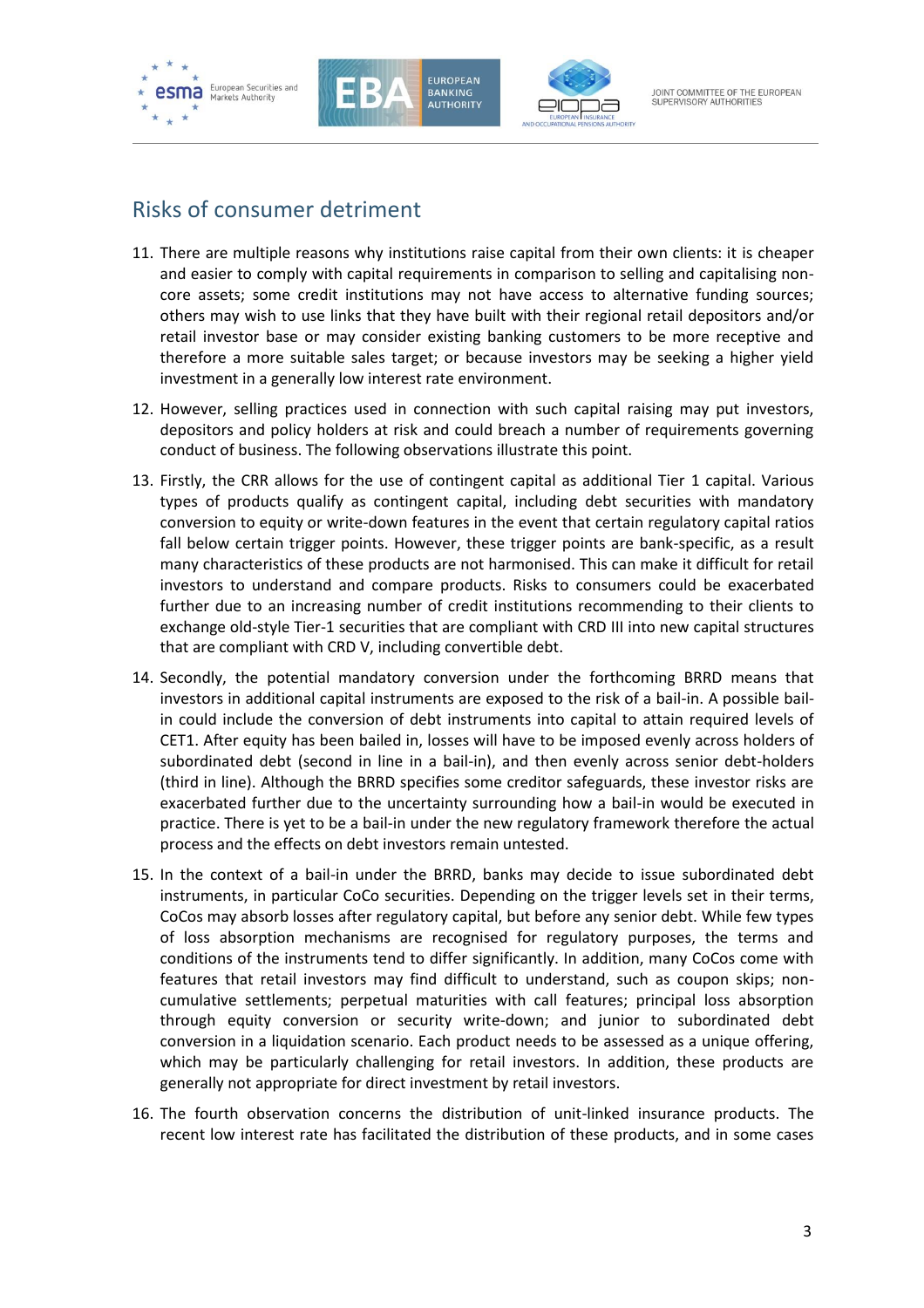





## Risks of consumer detriment

- 11. There are multiple reasons why institutions raise capital from their own clients: it is cheaper and easier to comply with capital requirements in comparison to selling and capitalising noncore assets; some credit institutions may not have access to alternative funding sources; others may wish to use links that they have built with their regional retail depositors and/or retail investor base or may consider existing banking customers to be more receptive and therefore a more suitable sales target; or because investors may be seeking a higher yield investment in a generally low interest rate environment.
- 12. However, selling practices used in connection with such capital raising may put investors, depositors and policy holders at risk and could breach a number of requirements governing conduct of business. The following observations illustrate this point.
- 13. Firstly, the CRR allows for the use of contingent capital as additional Tier 1 capital. Various types of products qualify as contingent capital, including debt securities with mandatory conversion to equity or write-down features in the event that certain regulatory capital ratios fall below certain trigger points. However, these trigger points are bank-specific, as a result many characteristics of these products are not harmonised. This can make it difficult for retail investors to understand and compare products. Risks to consumers could be exacerbated further due to an increasing number of credit institutions recommending to their clients to exchange old-style Tier-1 securities that are compliant with CRD III into new capital structures that are compliant with CRD V, including convertible debt.
- 14. Secondly, the potential mandatory conversion under the forthcoming BRRD means that investors in additional capital instruments are exposed to the risk of a bail-in. A possible bailin could include the conversion of debt instruments into capital to attain required levels of CET1. After equity has been bailed in, losses will have to be imposed evenly across holders of subordinated debt (second in line in a bail-in), and then evenly across senior debt-holders (third in line). Although the BRRD specifies some creditor safeguards, these investor risks are exacerbated further due to the uncertainty surrounding how a bail-in would be executed in practice. There is yet to be a bail-in under the new regulatory framework therefore the actual process and the effects on debt investors remain untested.
- 15. In the context of a bail-in under the BRRD, banks may decide to issue subordinated debt instruments, in particular CoCo securities. Depending on the trigger levels set in their terms, CoCos may absorb losses after regulatory capital, but before any senior debt. While few types of loss absorption mechanisms are recognised for regulatory purposes, the terms and conditions of the instruments tend to differ significantly. In addition, many CoCos come with features that retail investors may find difficult to understand, such as coupon skips; noncumulative settlements; perpetual maturities with call features; principal loss absorption through equity conversion or security write-down; and junior to subordinated debt conversion in a liquidation scenario. Each product needs to be assessed as a unique offering, which may be particularly challenging for retail investors. In addition, these products are generally not appropriate for direct investment by retail investors.
- 16. The fourth observation concerns the distribution of unit-linked insurance products. The recent low interest rate has facilitated the distribution of these products, and in some cases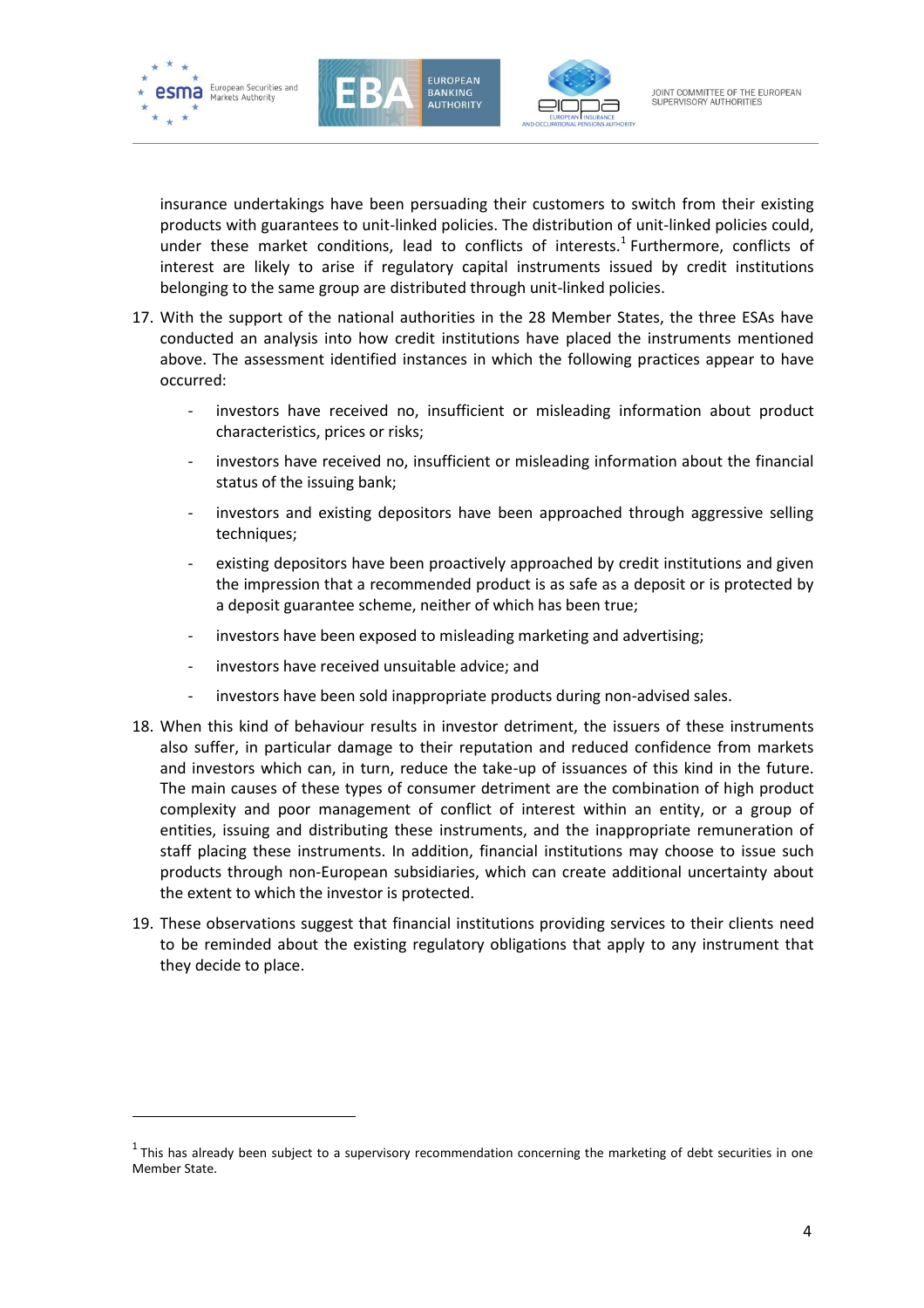

-





insurance undertakings have been persuading their customers to switch from their existing products with guarantees to unit-linked policies. The distribution of unit-linked policies could, under these market conditions, lead to conflicts of interests.<sup>1</sup> Furthermore, conflicts of interest are likely to arise if regulatory capital instruments issued by credit institutions belonging to the same group are distributed through unit-linked policies.

- 17. With the support of the national authorities in the 28 Member States, the three ESAs have conducted an analysis into how credit institutions have placed the instruments mentioned above. The assessment identified instances in which the following practices appear to have occurred:
	- investors have received no, insufficient or misleading information about product characteristics, prices or risks;
	- investors have received no, insufficient or misleading information about the financial status of the issuing bank;
	- investors and existing depositors have been approached through aggressive selling techniques;
	- existing depositors have been proactively approached by credit institutions and given the impression that a recommended product is as safe as a deposit or is protected by a deposit guarantee scheme, neither of which has been true;
	- investors have been exposed to misleading marketing and advertising;
	- investors have received unsuitable advice; and
	- investors have been sold inappropriate products during non-advised sales.
- 18. When this kind of behaviour results in investor detriment, the issuers of these instruments also suffer, in particular damage to their reputation and reduced confidence from markets and investors which can, in turn, reduce the take-up of issuances of this kind in the future. The main causes of these types of consumer detriment are the combination of high product complexity and poor management of conflict of interest within an entity, or a group of entities, issuing and distributing these instruments, and the inappropriate remuneration of staff placing these instruments. In addition, financial institutions may choose to issue such products through non-European subsidiaries, which can create additional uncertainty about the extent to which the investor is protected.
- 19. These observations suggest that financial institutions providing services to their clients need to be reminded about the existing regulatory obligations that apply to any instrument that they decide to place.

 $<sup>1</sup>$ This has already been subject to a supervisory recommendation concerning the marketing of debt securities in one</sup> Member State.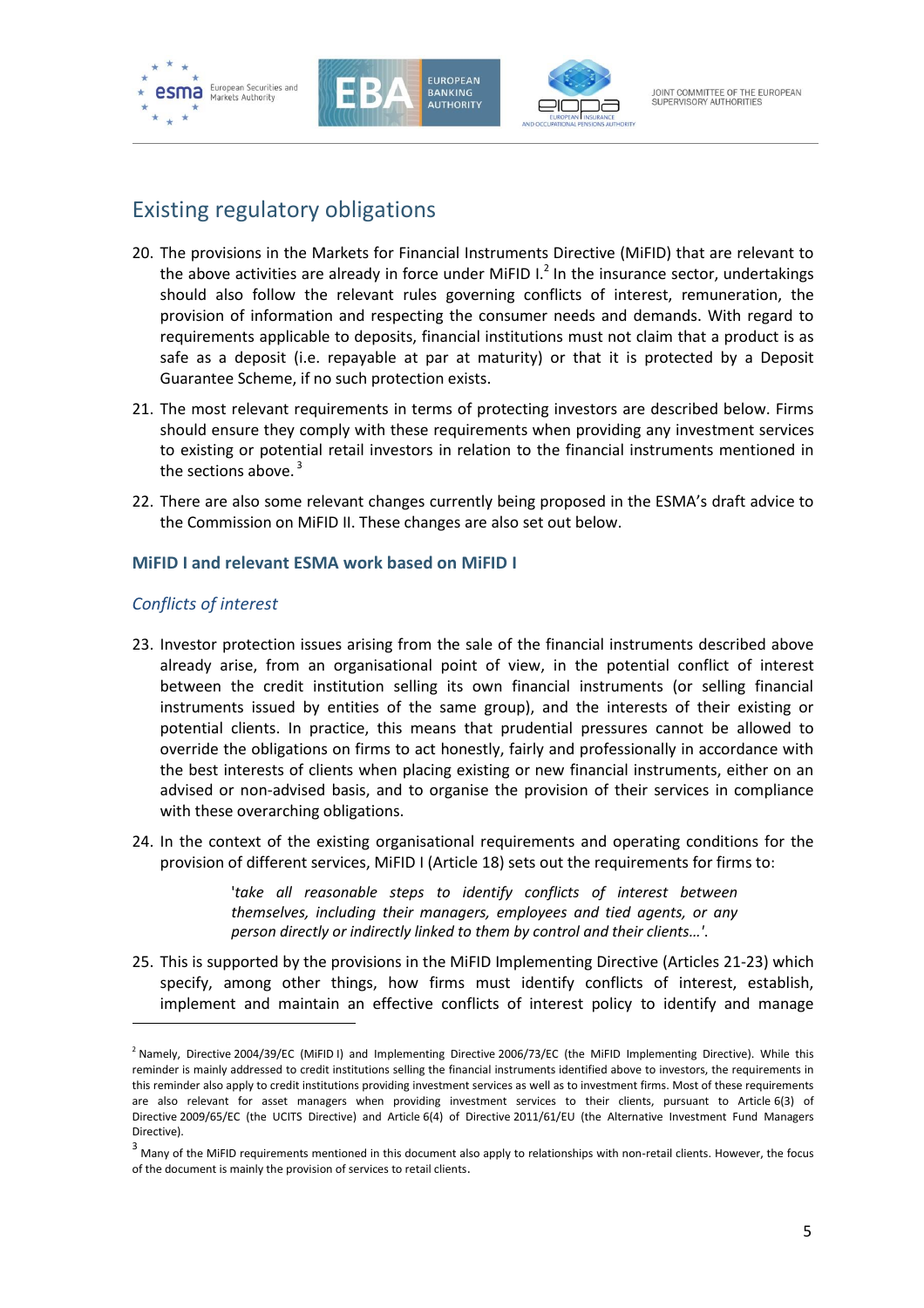





## Existing regulatory obligations

- 20. The provisions in the Markets for Financial Instruments Directive (MiFID) that are relevant to the above activities are already in force under MiFID  $L^2$  In the insurance sector, undertakings should also follow the relevant rules governing conflicts of interest, remuneration, the provision of information and respecting the consumer needs and demands. With regard to requirements applicable to deposits, financial institutions must not claim that a product is as safe as a deposit (i.e. repayable at par at maturity) or that it is protected by a Deposit Guarantee Scheme, if no such protection exists.
- 21. The most relevant requirements in terms of protecting investors are described below. Firms should ensure they comply with these requirements when providing any investment services to existing or potential retail investors in relation to the financial instruments mentioned in the sections above.  $3$
- 22. There are also some relevant changes currently being proposed in the ESMA's draft advice to the Commission on MiFID II. These changes are also set out below.

#### **MiFID I and relevant ESMA work based on MiFID I**

#### *Conflicts of interest*

-

- 23. Investor protection issues arising from the sale of the financial instruments described above already arise, from an organisational point of view, in the potential conflict of interest between the credit institution selling its own financial instruments (or selling financial instruments issued by entities of the same group), and the interests of their existing or potential clients. In practice, this means that prudential pressures cannot be allowed to override the obligations on firms to act honestly, fairly and professionally in accordance with the best interests of clients when placing existing or new financial instruments, either on an advised or non-advised basis, and to organise the provision of their services in compliance with these overarching obligations.
- 24. In the context of the existing organisational requirements and operating conditions for the provision of different services, MiFID I (Article 18) sets out the requirements for firms to:

'*take all reasonable steps to identify conflicts of interest between themselves, including their managers, employees and tied agents, or any person directly or indirectly linked to them by control and their clients…'*.

25. This is supported by the provisions in the MiFID Implementing Directive (Articles 21-23) which specify, among other things, how firms must identify conflicts of interest, establish, implement and maintain an effective conflicts of interest policy to identify and manage

<sup>&</sup>lt;sup>2</sup> Namely, Directive 2004/39/EC (MiFID I) and Implementing Directive 2006/73/EC (the MiFID Implementing Directive). While this reminder is mainly addressed to credit institutions selling the financial instruments identified above to investors, the requirements in this reminder also apply to credit institutions providing investment services as well as to investment firms. Most of these requirements are also relevant for asset managers when providing investment services to their clients, pursuant to Article 6(3) of Directive 2009/65/EC (the UCITS Directive) and Article 6(4) of Directive 2011/61/EU (the Alternative Investment Fund Managers Directive).

 $3$  Many of the MiFID requirements mentioned in this document also apply to relationships with non-retail clients. However, the focus of the document is mainly the provision of services to retail clients.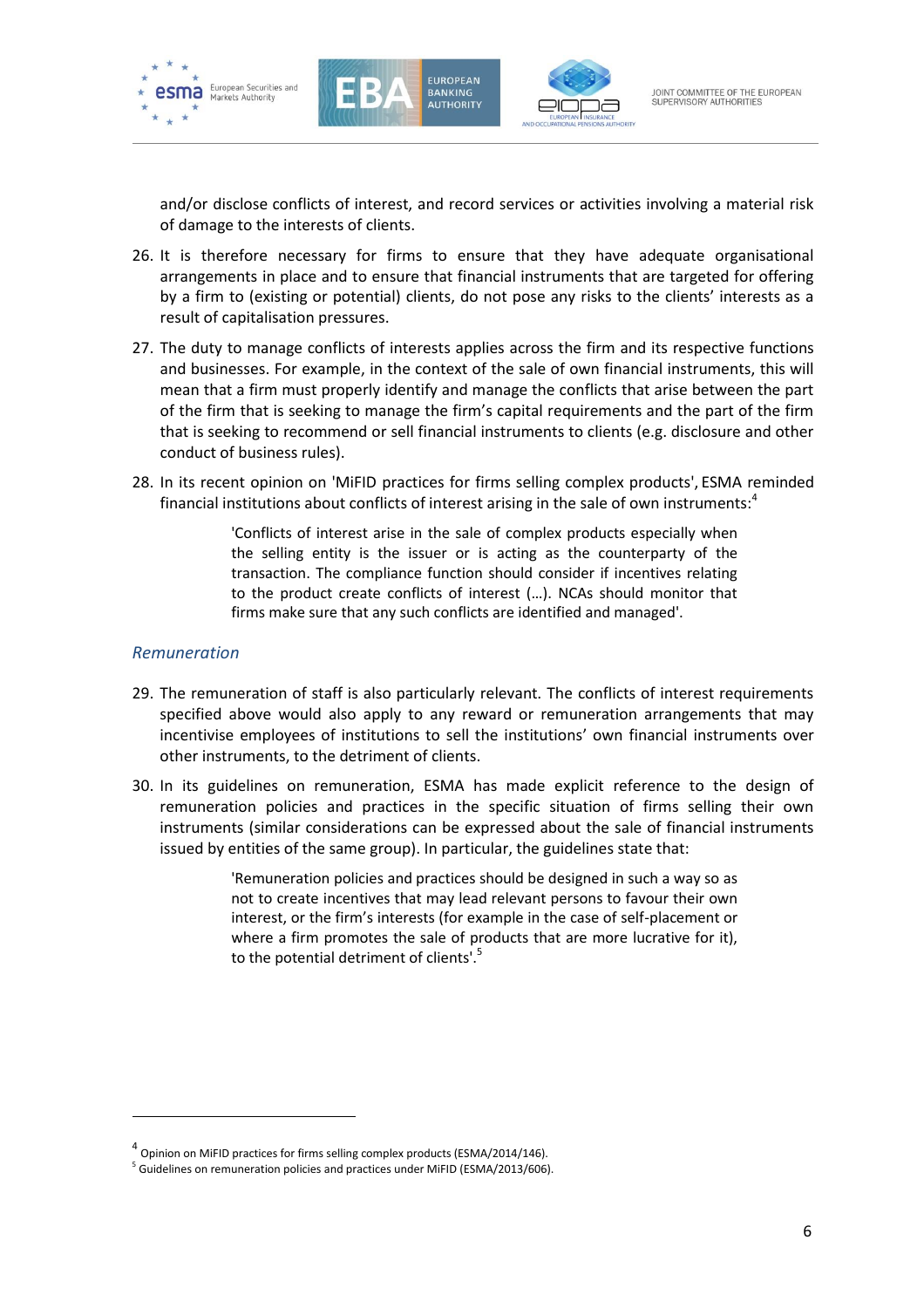





and/or disclose conflicts of interest, and record services or activities involving a material risk of damage to the interests of clients.

- 26. It is therefore necessary for firms to ensure that they have adequate organisational arrangements in place and to ensure that financial instruments that are targeted for offering by a firm to (existing or potential) clients, do not pose any risks to the clients' interests as a result of capitalisation pressures.
- 27. The duty to manage conflicts of interests applies across the firm and its respective functions and businesses. For example, in the context of the sale of own financial instruments, this will mean that a firm must properly identify and manage the conflicts that arise between the part of the firm that is seeking to manage the firm's capital requirements and the part of the firm that is seeking to recommend or sell financial instruments to clients (e.g. disclosure and other conduct of business rules).
- 28. In its recent opinion on 'MiFID practices for firms selling complex products', ESMA reminded financial institutions about conflicts of interest arising in the sale of own instruments: $4$

'Conflicts of interest arise in the sale of complex products especially when the selling entity is the issuer or is acting as the counterparty of the transaction. The compliance function should consider if incentives relating to the product create conflicts of interest (…). NCAs should monitor that firms make sure that any such conflicts are identified and managed'.

#### *Remuneration*

-

- 29. The remuneration of staff is also particularly relevant. The conflicts of interest requirements specified above would also apply to any reward or remuneration arrangements that may incentivise employees of institutions to sell the institutions' own financial instruments over other instruments, to the detriment of clients.
- 30. In its guidelines on remuneration, ESMA has made explicit reference to the design of remuneration policies and practices in the specific situation of firms selling their own instruments (similar considerations can be expressed about the sale of financial instruments issued by entities of the same group). In particular, the guidelines state that:

'Remuneration policies and practices should be designed in such a way so as not to create incentives that may lead relevant persons to favour their own interest, or the firm's interests (for example in the case of self-placement or where a firm promotes the sale of products that are more lucrative for it), to the potential detriment of clients'.<sup>5</sup>

<sup>&</sup>lt;sup>4</sup> Opinion on MiFID practices for firms selling complex products (ESMA/2014/146).

<sup>&</sup>lt;sup>5</sup> Guidelines on remuneration policies and practices under MiFID (ESMA/2013/606).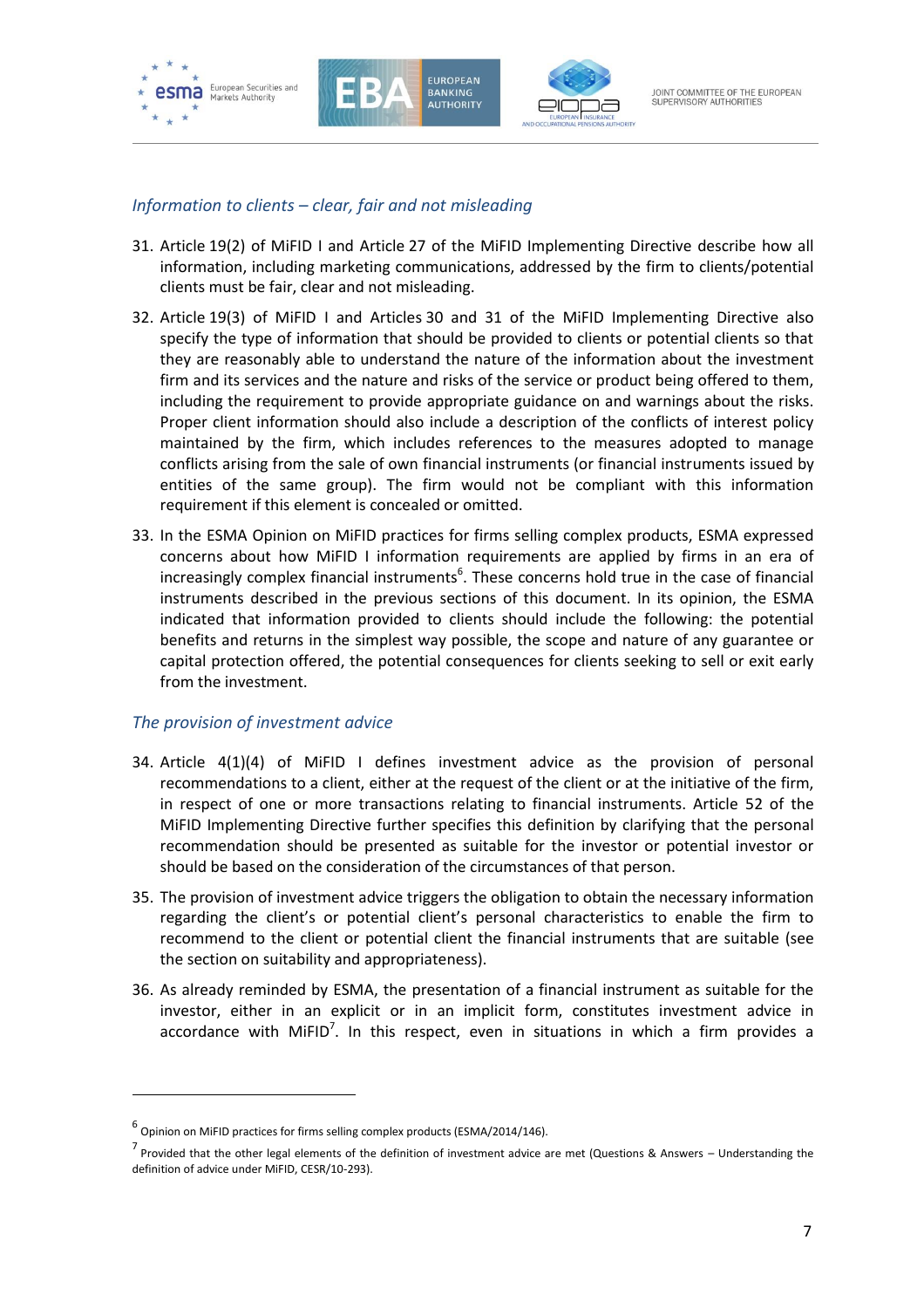

#### *Information to clients – clear, fair and not misleading*

- 31. Article 19(2) of MiFID I and Article 27 of the MiFID Implementing Directive describe how all information, including marketing communications, addressed by the firm to clients/potential clients must be fair, clear and not misleading.
- 32. Article 19(3) of MiFID I and Articles 30 and 31 of the MiFID Implementing Directive also specify the type of information that should be provided to clients or potential clients so that they are reasonably able to understand the nature of the information about the investment firm and its services and the nature and risks of the service or product being offered to them, including the requirement to provide appropriate guidance on and warnings about the risks. Proper client information should also include a description of the conflicts of interest policy maintained by the firm, which includes references to the measures adopted to manage conflicts arising from the sale of own financial instruments (or financial instruments issued by entities of the same group). The firm would not be compliant with this information requirement if this element is concealed or omitted.
- 33. In the ESMA Opinion on MiFID practices for firms selling complex products, ESMA expressed concerns about how MiFID I information requirements are applied by firms in an era of increasingly complex financial instruments<sup>6</sup>. These concerns hold true in the case of financial instruments described in the previous sections of this document. In its opinion, the ESMA indicated that information provided to clients should include the following: the potential benefits and returns in the simplest way possible, the scope and nature of any guarantee or capital protection offered, the potential consequences for clients seeking to sell or exit early from the investment.

#### *The provision of investment advice*

-

- 34. Article 4(1)(4) of MiFID I defines investment advice as the provision of personal recommendations to a client, either at the request of the client or at the initiative of the firm, in respect of one or more transactions relating to financial instruments. Article 52 of the MiFID Implementing Directive further specifies this definition by clarifying that the personal recommendation should be presented as suitable for the investor or potential investor or should be based on the consideration of the circumstances of that person.
- 35. The provision of investment advice triggers the obligation to obtain the necessary information regarding the client's or potential client's personal characteristics to enable the firm to recommend to the client or potential client the financial instruments that are suitable (see the section on suitability and appropriateness).
- 36. As already reminded by ESMA, the presentation of a financial instrument as suitable for the investor, either in an explicit or in an implicit form, constitutes investment advice in accordance with MiFID<sup>7</sup>. In this respect, even in situations in which a firm provides a

<sup>6</sup> Opinion on MiFID practices for firms selling complex products (ESMA/2014/146).

<sup>&</sup>lt;sup>7</sup> Provided that the other legal elements of the definition of investment advice are met (Questions & Answers – Understanding the definition of advice under MiFID, CESR/10-293).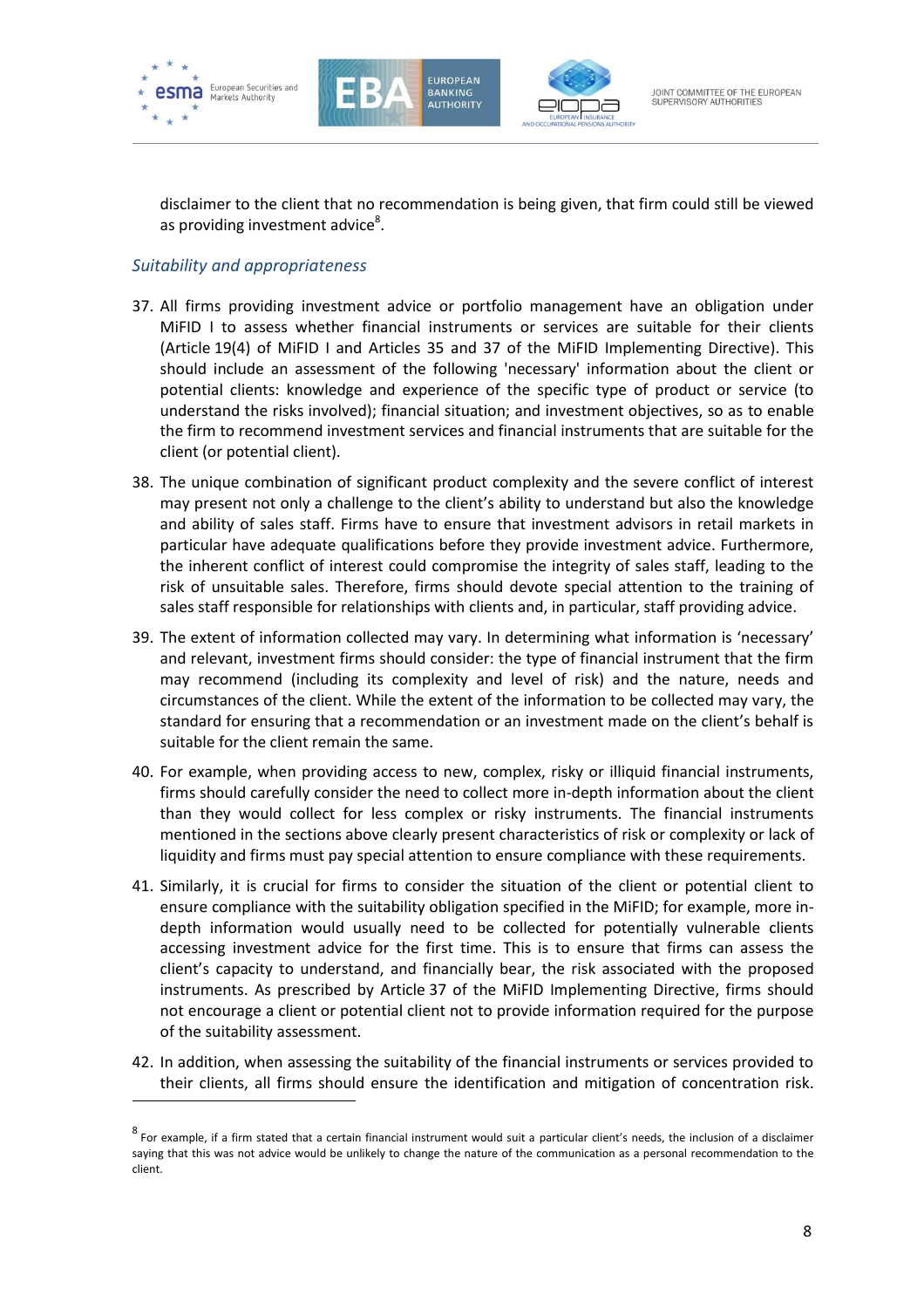

-





disclaimer to the client that no recommendation is being given, that firm could still be viewed as providing investment advice<sup>8</sup>.

#### *Suitability and appropriateness*

- 37. All firms providing investment advice or portfolio management have an obligation under MiFID I to assess whether financial instruments or services are suitable for their clients (Article 19(4) of MiFID I and Articles 35 and 37 of the MiFID Implementing Directive). This should include an assessment of the following 'necessary' information about the client or potential clients: knowledge and experience of the specific type of product or service (to understand the risks involved); financial situation; and investment objectives, so as to enable the firm to recommend investment services and financial instruments that are suitable for the client (or potential client).
- 38. The unique combination of significant product complexity and the severe conflict of interest may present not only a challenge to the client's ability to understand but also the knowledge and ability of sales staff. Firms have to ensure that investment advisors in retail markets in particular have adequate qualifications before they provide investment advice. Furthermore, the inherent conflict of interest could compromise the integrity of sales staff, leading to the risk of unsuitable sales. Therefore, firms should devote special attention to the training of sales staff responsible for relationships with clients and, in particular, staff providing advice.
- 39. The extent of information collected may vary. In determining what information is 'necessary' and relevant, investment firms should consider: the type of financial instrument that the firm may recommend (including its complexity and level of risk) and the nature, needs and circumstances of the client. While the extent of the information to be collected may vary, the standard for ensuring that a recommendation or an investment made on the client's behalf is suitable for the client remain the same.
- 40. For example, when providing access to new, complex, risky or illiquid financial instruments, firms should carefully consider the need to collect more in-depth information about the client than they would collect for less complex or risky instruments. The financial instruments mentioned in the sections above clearly present characteristics of risk or complexity or lack of liquidity and firms must pay special attention to ensure compliance with these requirements.
- 41. Similarly, it is crucial for firms to consider the situation of the client or potential client to ensure compliance with the suitability obligation specified in the MiFID; for example, more indepth information would usually need to be collected for potentially vulnerable clients accessing investment advice for the first time. This is to ensure that firms can assess the client's capacity to understand, and financially bear, the risk associated with the proposed instruments. As prescribed by Article 37 of the MiFID Implementing Directive, firms should not encourage a client or potential client not to provide information required for the purpose of the suitability assessment.
- 42. In addition, when assessing the suitability of the financial instruments or services provided to their clients, all firms should ensure the identification and mitigation of concentration risk.

 $^8$  For example, if a firm stated that a certain financial instrument would suit a particular client's needs, the inclusion of a disclaimer saying that this was not advice would be unlikely to change the nature of the communication as a personal recommendation to the client.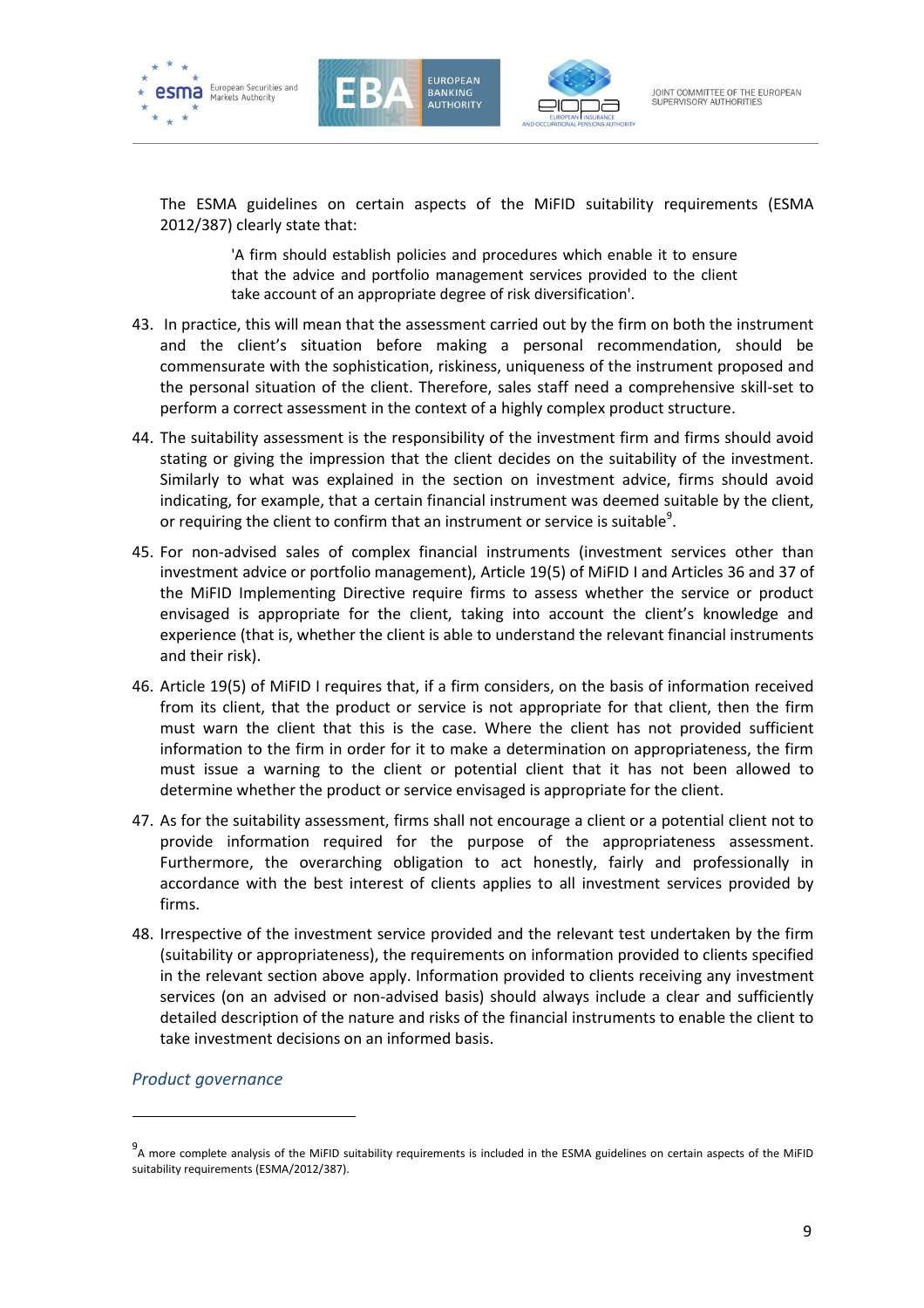





The ESMA guidelines on certain aspects of the MiFID suitability requirements (ESMA 2012/387) clearly state that:

> 'A firm should establish policies and procedures which enable it to ensure that the advice and portfolio management services provided to the client take account of an appropriate degree of risk diversification'.

- 43. In practice, this will mean that the assessment carried out by the firm on both the instrument and the client's situation before making a personal recommendation, should be commensurate with the sophistication, riskiness, uniqueness of the instrument proposed and the personal situation of the client. Therefore, sales staff need a comprehensive skill-set to perform a correct assessment in the context of a highly complex product structure.
- 44. The suitability assessment is the responsibility of the investment firm and firms should avoid stating or giving the impression that the client decides on the suitability of the investment. Similarly to what was explained in the section on investment advice, firms should avoid indicating, for example, that a certain financial instrument was deemed suitable by the client, or requiring the client to confirm that an instrument or service is suitable<sup>9</sup>.
- 45. For non-advised sales of complex financial instruments (investment services other than investment advice or portfolio management), Article 19(5) of MiFID I and Articles 36 and 37 of the MiFID Implementing Directive require firms to assess whether the service or product envisaged is appropriate for the client, taking into account the client's knowledge and experience (that is, whether the client is able to understand the relevant financial instruments and their risk).
- 46. Article 19(5) of MiFID I requires that, if a firm considers, on the basis of information received from its client, that the product or service is not appropriate for that client, then the firm must warn the client that this is the case. Where the client has not provided sufficient information to the firm in order for it to make a determination on appropriateness, the firm must issue a warning to the client or potential client that it has not been allowed to determine whether the product or service envisaged is appropriate for the client.
- 47. As for the suitability assessment, firms shall not encourage a client or a potential client not to provide information required for the purpose of the appropriateness assessment. Furthermore, the overarching obligation to act honestly, fairly and professionally in accordance with the best interest of clients applies to all investment services provided by firms.
- 48. Irrespective of the investment service provided and the relevant test undertaken by the firm (suitability or appropriateness), the requirements on information provided to clients specified in the relevant section above apply. Information provided to clients receiving any investment services (on an advised or non-advised basis) should always include a clear and sufficiently detailed description of the nature and risks of the financial instruments to enable the client to take investment decisions on an informed basis.

*Product governance*

-

<sup>9&</sup>lt;br>A more complete analysis of the MiFID suitability requirements is included in the ESMA guidelines on certain aspects of the MiFID suitability requirements (ESMA/2012/387).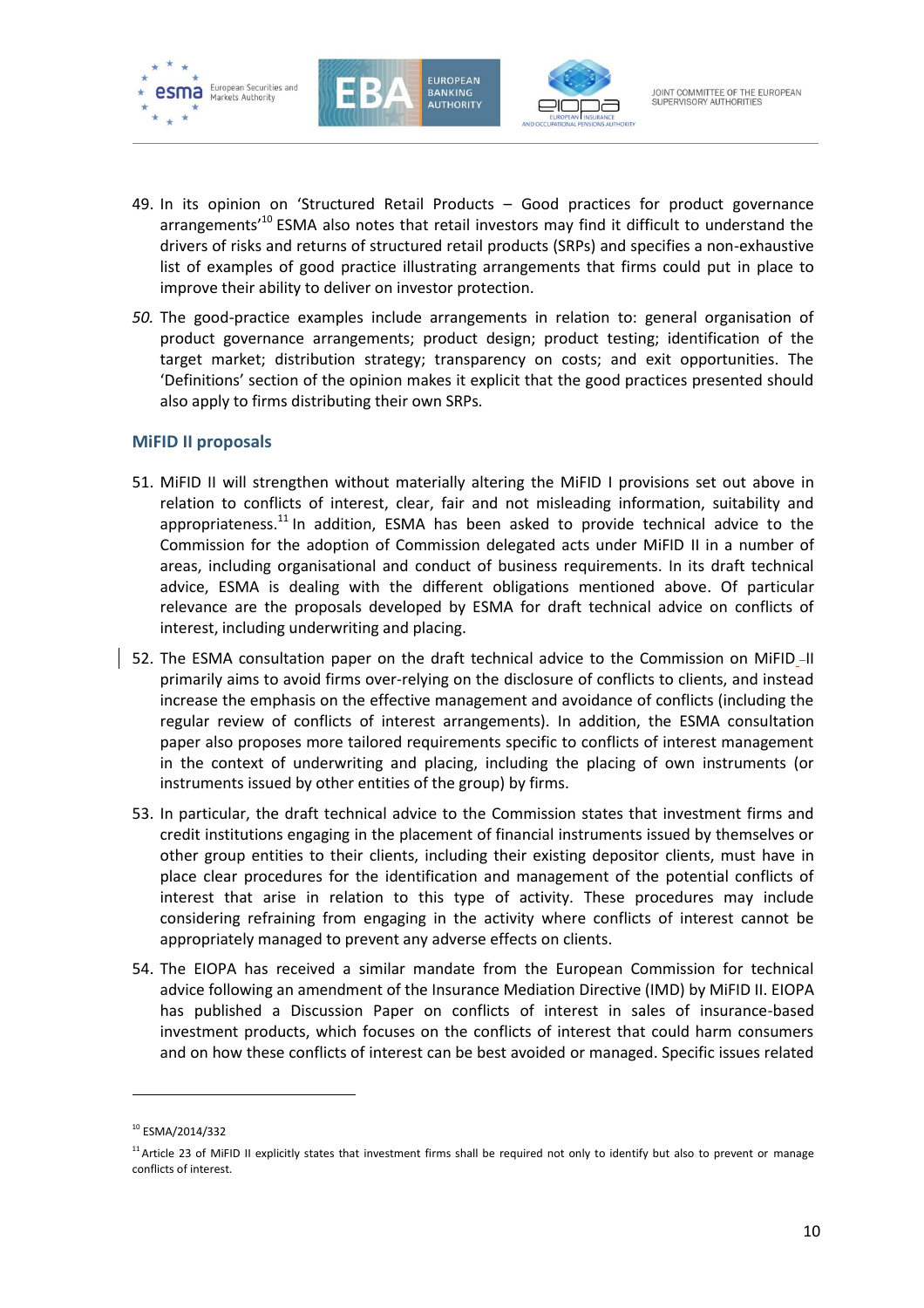





- 49. In its opinion on 'Structured Retail Products Good practices for product governance arrangements<sup>'10</sup> ESMA also notes that retail investors may find it difficult to understand the drivers of risks and returns of structured retail products (SRPs) and specifies a non-exhaustive list of examples of good practice illustrating arrangements that firms could put in place to improve their ability to deliver on investor protection.
- *50.* The good-practice examples include arrangements in relation to: general organisation of product governance arrangements; product design; product testing; identification of the target market; distribution strategy; transparency on costs; and exit opportunities. The 'Definitions' section of the opinion makes it explicit that the good practices presented should also apply to firms distributing their own SRPs*.*

#### **MiFID II proposals**

- 51. MiFID II will strengthen without materially altering the MiFID I provisions set out above in relation to conflicts of interest, clear, fair and not misleading information, suitability and appropriateness.<sup>11</sup> In addition, ESMA has been asked to provide technical advice to the Commission for the adoption of Commission delegated acts under MiFID II in a number of areas, including organisational and conduct of business requirements. In its draft technical advice, ESMA is dealing with the different obligations mentioned above. Of particular relevance are the proposals developed by ESMA for draft technical advice on conflicts of interest, including underwriting and placing.
- 52. The ESMA consultation paper on the draft technical advice to the Commission on MiFID\_II primarily aims to avoid firms over-relying on the disclosure of conflicts to clients, and instead increase the emphasis on the effective management and avoidance of conflicts (including the regular review of conflicts of interest arrangements). In addition, the ESMA consultation paper also proposes more tailored requirements specific to conflicts of interest management in the context of underwriting and placing, including the placing of own instruments (or instruments issued by other entities of the group) by firms.
- 53. In particular, the draft technical advice to the Commission states that investment firms and credit institutions engaging in the placement of financial instruments issued by themselves or other group entities to their clients, including their existing depositor clients, must have in place clear procedures for the identification and management of the potential conflicts of interest that arise in relation to this type of activity. These procedures may include considering refraining from engaging in the activity where conflicts of interest cannot be appropriately managed to prevent any adverse effects on clients.
- 54. The EIOPA has received a similar mandate from the European Commission for technical advice following an amendment of the Insurance Mediation Directive (IMD) by MiFID II. EIOPA has published a Discussion Paper on conflicts of interest in sales of insurance-based investment products, which focuses on the conflicts of interest that could harm consumers and on how these conflicts of interest can be best avoided or managed. Specific issues related

-

<sup>10</sup> ESMA/2014/332

<sup>&</sup>lt;sup>11</sup> Article 23 of MiFID II explicitly states that investment firms shall be required not only to identify but also to prevent or manage conflicts of interest.